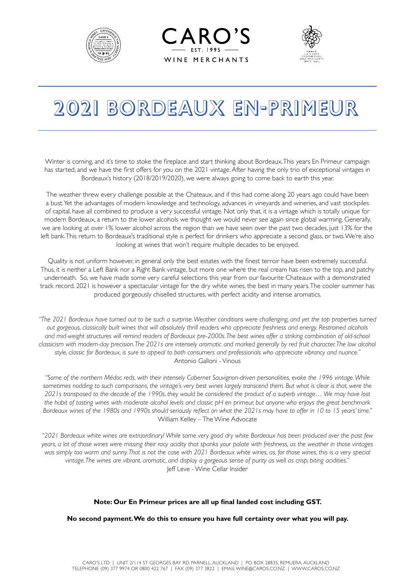





# 2021 BORDEAUX EN-PRIMEUR

Winter is coming, and it's time to stoke the fireplace and start thinking about Bordeaux. This years En Primeur campaign has started, and we have the first offers for you on the 2021 vintage. After having the only trio of exceptional vintages in Bordeaux's history (2018/2019/2020), we were always going to come back to earth this year.

The weather threw every challenge possible at the Chateaux, and if this had come along 20 years ago could have been a bust. Yet the advantages of modern knowledge and technology, advances in vineyards and wineries, and vast stockpiles of capital, have all combined to produce a very successful vintage. Not only that, it is a vintage which is totally unique for modern Bordeaux, a return to the lower alcohols we thought we would never see again since global warming. Generally, we are looking at over 1% lower alcohol across the region than we have seen over the past two decades, just 13% for the left bank. This return to Bordeaux's traditional style is perfect for drinkers who appreciate a second glass, or two. We're also looking at wines that won't require multiple decades to be enjoyed.

Quality is not uniform however, in general only the best estates with the finest terroir have been extremely successful. Thus, it is neither a Left Bank nor a Right Bank vintage, but more one where the real cream has risen to the top, and patchy underneath. So, we have made some very careful selections this year from our favourite Chateaux with a demonstrated track record. 2021 is however a spectacular vintage for the dry white wines, the best in many years. The cooler summer has produced gorgeously chiselled structures, with perfect acidity and intense aromatics.

*"The 2021 Bordeaux have turned out to be such a surprise. Weather conditions were challenging, and yet the top properties turned out gorgeous, classically built wines that will absolutely thrill readers who appreciate freshness and energy. Restrained alcohols and mid-weight structures will remind readers of Bordeaux pre-2000s. The best wines offer a striking combination of old-school classicism with modern-day precision. The 2021s are intensely aromatic and marked generally by red fruit character. The low alcohol style, classic for Bordeaux, is sure to appeal to both consumers and professionals who appreciate vibrancy and nuance."* Antonio Galloni - Vinous

*"Some of the northern Médoc reds, with their intensely Cabernet Sauvignon-driven personalities, evoke the 1996 vintage. While sometimes nodding to such comparisons, the vintage's very best wines largely transcend them. But what is clear is that, were the 2021s transposed to the decade of the 1990s, they would be considered the product of a superb vintage… We may have lost the habit of tasting wines with moderate alcohol levels and classic pH en primeur, but anyone who enjoys the great benchmark Bordeaux wines of the 1980s and 1990s should seriously reflect on what the 2021s may have to offer in 10 to 15 years' time."*  William Kelley – The Wine Advocate

*"2021 Bordeaux white wines are extraordinary! While some very good dry white Bordeaux has been produced over the past few years, a lot of those wines were missing their racy acidity that spanks your palate with freshness, as the weather in those vintages was simply too warm and sunny. That is not the case with 2021 Bordeaux white wines, as, for those wines, this is a very special vintage. The wines are vibrant, aromatic, and display a gorgeous sense of purity as well as crisp, biting acidities."* Jeff Leve - Wine Cellar Insider

#### **Note: Our En Primeur prices are all up final landed cost including GST.**

**No second payment. We do this to ensure you have full certainty over what you will pay.**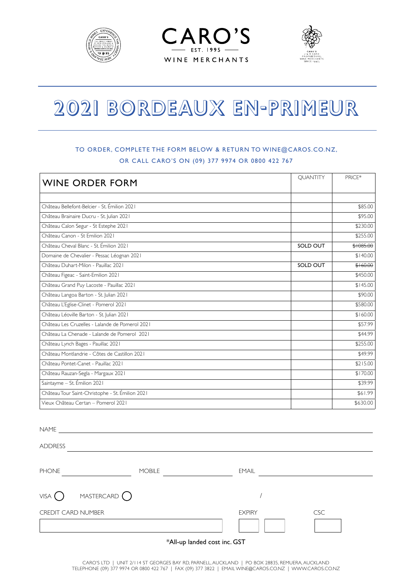





# 2021 BORDEAUX EN-PRIMEUR

#### TO ORDER, COMPLETE THE FORM BELOW & RETURN TO WINE@CAROS.CO.NZ, OR CALL CARO'S ON (09) 377 9974 OR 0800 422 767

| <b>WINE ORDER FORM</b>                           | <b>OUANTITY</b> | PRICE*    |
|--------------------------------------------------|-----------------|-----------|
|                                                  |                 |           |
| Château Bellefont-Belcier - St. Émilion 2021     |                 | \$85.00   |
| Château Brainaire Ducru - St. Julian 2021        |                 | \$95.00   |
| Château Calon Segur - St Estephe 2021            |                 | \$230.00  |
| Château Canon - St Emilion 2021                  |                 | \$255.00  |
| Château Cheval Blanc - St. Émilion 2021          | SOLD OUT        | \$1085.00 |
| Domaine de Chevalier - Pessac Léognan 2021       |                 | \$140.00  |
| Château Duhart-Milon - Pauillac 2021             | SOLD OUT        | \$160.00  |
| Château Figeac - Saint-Emilion 2021              |                 | \$450.00  |
| Château Grand Puy Lacoste - Pauillac 2021        |                 | \$145.00  |
| Château Langoa Barton - St. Julian 2021          |                 | \$90.00   |
| Château L'Eglise-Clinet - Pomerol 2021           |                 | \$580.00  |
| Château Léoville Barton - St. Julian 2021        |                 | \$160.00  |
| Château Les Cruzelles - Lalande de Pomerol 2021  |                 | \$57.99   |
| Château La Chenade - Lalande de Pomerol 2021     |                 | \$44.99   |
| Château Lynch Bages - Pauillac 2021              |                 | \$255.00  |
| Château Montlandrie - Côtes de Castillon 2021    |                 | \$49.99   |
| Château Pontet-Canet - Pauillac 2021             |                 | \$215.00  |
| Château Rauzan-Segla - Margaux 2021              |                 | \$170.00  |
| Saintayme - St. Émilion 2021                     |                 | \$39.99   |
| Château Tour Saint-Christophe - St. Émilion 2021 |                 | \$61.99   |
| Vieux Château Certan - Pomerol 2021              |                 | \$630.00  |

/ \*All-up landed cost inc. GST NAME ADDRESS PHONE MOBILE <u>Containing</u> EMAIL  $VISA$  MASTERCARD CREDIT CARD NUMBER **EXPIRY** EXPIRY **CSC**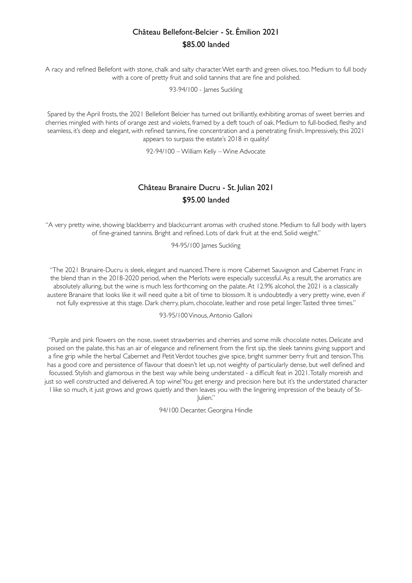# Château Bellefont-Belcier - St. Émilion 2021 \$85.00 landed

A racy and refined Bellefont with stone, chalk and salty character. Wet earth and green olives, too. Medium to full body with a core of pretty fruit and solid tannins that are fine and polished.

93-94/100 - James Suckling

Spared by the April frosts, the 2021 Bellefont Belcier has turned out brilliantly, exhibiting aromas of sweet berries and cherries mingled with hints of orange zest and violets, framed by a deft touch of oak. Medium to full-bodied, fleshy and seamless, it's deep and elegant, with refined tannins, fine concentration and a penetrating finish. Impressively, this 2021 appears to surpass the estate's 2018 in quality!

92-94/100 – William Kelly – Wine Advocate

## Château Branaire Ducru - St. Julian 2021 \$95.00 landed

"A very pretty wine, showing blackberry and blackcurrant aromas with crushed stone. Medium to full body with layers of fine-grained tannins. Bright and refined. Lots of dark fruit at the end. Solid weight."

94-95/100 James Suckling

"The 2021 Branaire-Ducru is sleek, elegant and nuanced. There is more Cabernet Sauvignon and Cabernet Franc in the blend than in the 2018-2020 period, when the Merlots were especially successful. As a result, the aromatics are absolutely alluring, but the wine is much less forthcoming on the palate. At 12.9% alcohol, the 2021 is a classically austere Branaire that looks like it will need quite a bit of time to blossom. It is undoubtedly a very pretty wine, even if not fully expressive at this stage. Dark cherry, plum, chocolate, leather and rose petal linger. Tasted three times."

93-95/100 Vinous, Antonio Galloni

"Purple and pink flowers on the nose, sweet strawberries and cherries and some milk chocolate notes. Delicate and poised on the palate, this has an air of elegance and refinement from the first sip, the sleek tannins giving support and a fine grip while the herbal Cabernet and Petit Verdot touches give spice, bright summer berry fruit and tension. This has a good core and persistence of flavour that doesn't let up, not weighty of particularly dense, but well defined and focussed. Stylish and glamorous in the best way while being understated - a difficult feat in 2021. Totally moreish and just so well constructed and delivered. A top wine! You get energy and precision here but it's the understated character I like so much, it just grows and grows quietly and then leaves you with the lingering impression of the beauty of St-Julien."

94/100 Decanter, Georgina Hindle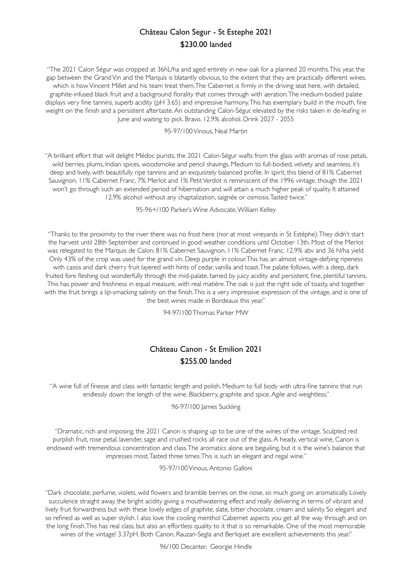# Château Calon Segur - St Estephe 2021 \$230.00 landed

"The 2021 Calon Ségur was cropped at 36hL/ha and aged entirely in new oak for a planned 20 months. This year, the gap between the Grand Vin and the Marquis is blatantly obvious, to the extent that they are practically different wines, which is how Vincent Millet and his team treat them. The Cabernet is firmly in the driving seat here, with detailed, graphite-infused black fruit and a background florality that comes through with aeration. The medium-bodied palate displays very fine tannins, superb acidity (pH 3.65) and impressive harmony. This has exemplary build in the mouth, fine weight on the finish and a persistent aftertaste. An outstanding Calon-Ségur, elevated by the risks taken in de-leafing in June and waiting to pick. Bravo. 12.9% alcohol. Drink 2027 - 2055

#### 95-97/100 Vinous, Neal Martin

"A brilliant effort that will delight Médoc purists, the 2021 Calon-Ségur wafts from the glass with aromas of rose petals, wild berries, plums, Indian spices, woodsmoke and pencil shavings. Medium to full-bodied, velvety and seamless, it's deep and lively, with beautifully ripe tannins and an exquisitely balanced profile. In spirit, this blend of 81% Cabernet Sauvignon, 11% Cabernet Franc, 7% Merlot and 1% Petit Verdot is reminiscent of the 1996 vintage, though the 2021 won't go through such an extended period of hibernation and will attain a much higher peak of quality. It attained 12.9% alcohol without any chaptalization, saignée or osmosis. Tasted twice."

95-96+/100 Parker's Wine Advocate, William Kelley

"Thanks to the proximity to the river there was no frost here (nor at most vineyards in St Estèphe). They didn't start the harvest until 28th September and continued in good weather conditions until October 13th. Most of the Merlot was relegated to the Marquis de Calon. 81% Cabernet Sauvignon, 11% Cabernet Franc. 12.9% abv and 36 hl/ha yield. Only 43% of the crop was used for the grand vin. Deep purple in colour. This has an almost vintage-defying ripeness with cassis and dark cherry fruit layered with hints of cedar, vanilla and toast. The palate follows, with a deep, dark fruited fore fleshing out wonderfully through the mid-palate, tamed by juicy acidity and persistent, fine, plentiful tannins. This has power and freshness in equal measure, with real matière. The oak is just the right side of toasty, and together with the fruit brings a lip-smacking salinity on the finish. This is a very impressive expression of the vintage, and is one of the best wines made in Bordeaux this year."

94-97/100 Thomas Parker MW

## Château Canon - St Emilion 2021 \$255.00 landed

"A wine full of finesse and class with fantastic length and polish. Medium to full body with ultra-fine tannins that run endlessly down the length of the wine. Blackberry, graphite and spice. Agile and weightless."

#### 96-97/100 James Suckling

"Dramatic, rich and imposing, the 2021 Canon is shaping up to be one of the wines of the vintage. Sculpted red purplish fruit, rose petal, lavender, sage and crushed rocks all race out of the glass. A heady, vertical wine, Canon is endowed with tremendous concentration and class. The aromatics alone are beguiling, but it is the wine's balance that impresses most. Tasted three times. This is such an elegant and regal wine."

95-97/100 Vinous, Antonio Galloni

"Dark chocolate, perfume, violets, wild flowers and bramble berries on the nose, so much going on aromatically. Lovely succulence straight away, the bright acidity giving a mouthwatering effect and really delivering in terms of vibrant and lively fruit forwardness but with these lovely edges of graphite, slate, bitter chocolate, cream and salinity. So elegant and so refined as well as super stylish. I also love the cooling menthol Cabernet aspects you get all the way through and on the long finish. This has real class, but also an effortless quality to it that is so remarkable. One of the most memorable wines of the vintage! 3.37pH. Both Canon, Rauzan-Segla and Berliquet are excellent achievements this year."

96/100 Decanter, Georgie Hindle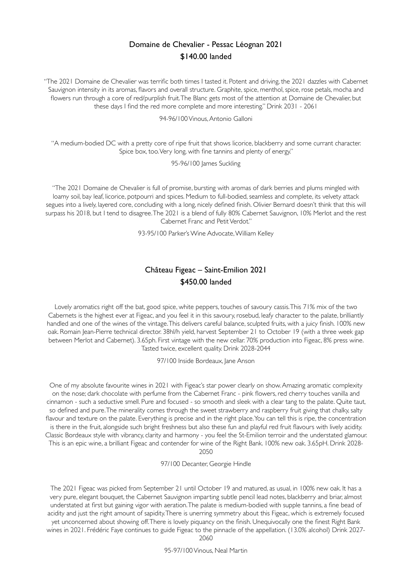#### Domaine de Chevalier - Pessac Léognan 2021 \$140.00 landed

"The 2021 Domaine de Chevalier was terrific both times I tasted it. Potent and driving, the 2021 dazzles with Cabernet Sauvignon intensity in its aromas, flavors and overall structure. Graphite, spice, menthol, spice, rose petals, mocha and flowers run through a core of red/purplish fruit. The Blanc gets most of the attention at Domaine de Chevalier, but these days I find the red more complete and more interesting." Drink 2031 - 2061

94-96/100 Vinous, Antonio Galloni

"A medium-bodied DC with a pretty core of ripe fruit that shows licorice, blackberry and some currant character. Spice box, too. Very long, with fine tannins and plenty of energy."

95-96/100 lames Suckling

"The 2021 Domaine de Chevalier is full of promise, bursting with aromas of dark berries and plums mingled with loamy soil, bay leaf, licorice, potpourri and spices. Medium to full-bodied, seamless and complete, its velvety attack segues into a lively, layered core, concluding with a long, nicely defined finish. Olivier Bernard doesn't think that this will surpass his 2018, but I tend to disagree. The 2021 is a blend of fully 80% Cabernet Sauvignon, 10% Merlot and the rest Cabernet Franc and Petit Verdot."

93-95/100 Parker's Wine Advocate, William Kelley

# Château Figeac – Saint-Emilion 2021 \$450.00 landed

Lovely aromatics right off the bat, good spice, white peppers, touches of savoury cassis. This 71% mix of the two Cabernets is the highest ever at Figeac, and you feel it in this savoury, rosebud, leafy character to the palate, brilliantly handled and one of the wines of the vintage. This delivers careful balance, sculpted fruits, with a juicy finish. 100% new oak. Romain Jean-Pierre technical director. 38hl/h yield, harvest September 21 to October 19 (with a three week gap between Merlot and Cabernet). 3.65ph. First vintage with the new cellar. 70% production into Figeac, 8% press wine. Tasted twice, excellent quality. Drink 2028-2044

97/100 Inside Bordeaux, Jane Anson

One of my absolute favourite wines in 2021 with Figeac's star power clearly on show. Amazing aromatic complexity on the nose; dark chocolate with perfume from the Cabernet Franc - pink flowers, red cherry touches vanilla and cinnamon - such a seductive smell. Pure and focused - so smooth and sleek with a clear tang to the palate. Quite taut, so defined and pure. The minerality comes through the sweet strawberry and raspberry fruit giving that chalky, salty flavour and texture on the palate. Everything is precise and in the right place. You can tell this is ripe, the concentration is there in the fruit, alongside such bright freshness but also these fun and playful red fruit flavours with lively acidity. Classic Bordeaux style with vibrancy, clarity and harmony - you feel the St-Emilion terroir and the understated glamour. This is an epic wine, a brilliant Figeac and contender for wine of the Right Bank. 100% new oak. 3.65pH. Drink 2028- 2050

97/100 Decanter, Georgie Hindle

The 2021 Figeac was picked from September 21 until October 19 and matured, as usual, in 100% new oak. It has a very pure, elegant bouquet, the Cabernet Sauvignon imparting subtle pencil lead notes, blackberry and briar, almost understated at first but gaining vigor with aeration. The palate is medium-bodied with supple tannins, a fine bead of acidity and just the right amount of sapidity. There is unerring symmetry about this Figeac, which is extremely focused yet unconcerned about showing off. There is lovely piquancy on the finish. Unequivocally one the finest Right Bank wines in 2021. Frédéric Faye continues to guide Figeac to the pinnacle of the appellation. (13.0% alcohol) Drink 2027-

2060

95-97/100 Vinous, Neal Martin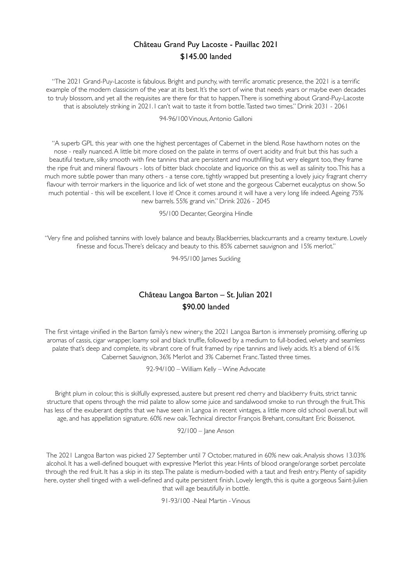# Château Grand Puy Lacoste - Pauillac 2021 \$145.00 landed

"The 2021 Grand-Puy-Lacoste is fabulous. Bright and punchy, with terrific aromatic presence, the 2021 is a terrific example of the modern classicism of the year at its best. It's the sort of wine that needs years or maybe even decades to truly blossom, and yet all the requisites are there for that to happen. There is something about Grand-Puy-Lacoste that is absolutely striking in 2021. I can't wait to taste it from bottle. Tasted two times." Drink 2031 - 2061

#### 94-96/100 Vinous, Antonio Galloni

"A superb GPL this year with one the highest percentages of Cabernet in the blend. Rose hawthorn notes on the nose - really nuanced. A little bit more closed on the palate in terms of overt acidity and fruit but this has such a beautiful texture, silky smooth with fine tannins that are persistent and mouthfilling but very elegant too, they frame the ripe fruit and mineral flavours - lots of bitter black chocolate and liquorice on this as well as salinity too. This has a much more subtle power than many others - a tense core, tightly wrapped but presenting a lovely juicy fragrant cherry flavour with terroir markers in the liquorice and lick of wet stone and the gorgeous Cabernet eucalyptus on show. So much potential - this will be excellent. I love it! Once it comes around it will have a very long life indeed. Ageing 75% new barrels. 55% grand vin." Drink 2026 - 2045

95/100 Decanter, Georgina Hindle

"Very fine and polished tannins with lovely balance and beauty. Blackberries, blackcurrants and a creamy texture. Lovely finesse and focus. There's delicacy and beauty to this. 85% cabernet sauvignon and 15% merlot."

94-95/100 lames Suckling

# Château Langoa Barton – St. Julian 2021 \$90.00 landed

The first vintage vinified in the Barton family's new winery, the 2021 Langoa Barton is immensely promising, offering up aromas of cassis, cigar wrapper, loamy soil and black truffle, followed by a medium to full-bodied, velvety and seamless palate that's deep and complete, its vibrant core of fruit framed by ripe tannins and lively acids. It's a blend of 61% Cabernet Sauvignon, 36% Merlot and 3% Cabernet Franc. Tasted three times.

92-94/100 – William Kelly – Wine Advocate

Bright plum in colour, this is skilfully expressed, austere but present red cherry and blackberry fruits, strict tannic structure that opens through the mid palate to allow some juice and sandalwood smoke to run through the fruit. This has less of the exuberant depths that we have seen in Langoa in recent vintages, a little more old school overall, but will age, and has appellation signature. 60% new oak. Technical director François Brehant, consultant Eric Boissenot.

92/100 – Jane Anson

The 2021 Langoa Barton was picked 27 September until 7 October, matured in 60% new oak. Analysis shows 13.03% alcohol. It has a well-defined bouquet with expressive Merlot this year. Hints of blood orange/orange sorbet percolate through the red fruit. It has a skip in its step. The palate is medium-bodied with a taut and fresh entry. Plenty of sapidity here, oyster shell tinged with a well-defined and quite persistent finish. Lovely length, this is quite a gorgeous Saint-Julien that will age beautifully in bottle.

91-93/100 -Neal Martin - Vinous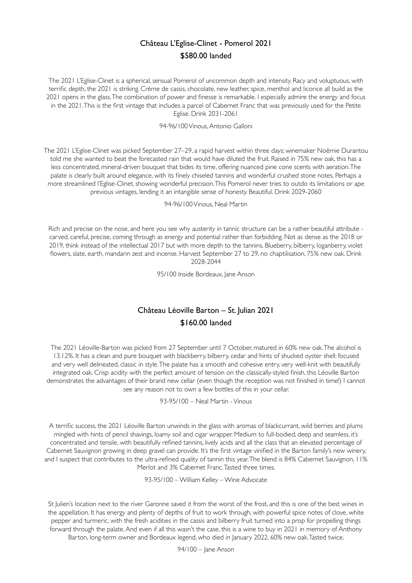## Château L'Eglise-Clinet - Pomerol 2021 \$580.00 landed

The 2021 L'Eglise-Clinet is a spherical, sensual Pomerol of uncommon depth and intensity. Racy and voluptuous, with terrific depth, the 2021 is striking. Crème de cassis, chocolate, new leather, spice, menthol and licorice all build as the 2021 opens in the glass. The combination of power and finesse is remarkable. I especially admire the energy and focus in the 2021. This is the first vintage that includes a parcel of Cabernet Franc that was previously used for the Petite Eglise. Drink 2031-2061

94-96/100 Vinous, Antonio Galloni

The 2021 L'Eglise-Clinet was picked September 27–29, a rapid harvest within three days; winemaker Noëmie Durantou told me she wanted to beat the forecasted rain that would have diluted the fruit. Raised in 75% new oak, this has a less concentrated, mineral-driven bouquet that bides its time, offering nuanced pine cone scents with aeration. The palate is clearly built around elegance, with its finely chiseled tannins and wonderful crushed stone notes. Perhaps a more streamlined l'Eglise-Clinet, showing wonderful precision. This Pomerol never tries to outdo its limitations or ape previous vintages, lending it an intangible sense of honesty. Beautiful. Drink 2029-2060

94-96/100 Vinous, Neal Martin

Rich and precise on the nose, and here you see why austerity in tannic structure can be a rather beautiful attribute carved, careful, precise, coming through as energy and potential rather than forbidding. Not as dense as the 2018 or 2019, think instead of the intellectual 2017 but with more depth to the tannins. Blueberry, bilberry, loganberry, violet flowers, slate, earth, mandarin zest and incense. Harvest September 27 to 29, no chaptilisation, 75% new oak. Drink 2028-2044

95/100 Inside Bordeaux, Jane Anson

## Château Léoville Barton – St. Julian 2021 \$160.00 landed

The 2021 Léoville-Barton was picked from 27 September until 7 October, matured in 60% new oak. The alcohol is 13.12%. It has a clean and pure bouquet with blackberry, bilberry, cedar and hints of shucked oyster shell: focused and very well delineated, classic in style. The palate has a smooth and cohesive entry, very well-knit with beautifully integrated oak. Crisp acidity with the perfect amount of tension on the classically-styled finish, this Léoville Barton demonstrates the advantages of their brand new cellar (even though the reception was not finished in time!) I cannot see any reason not to own a few bottles of this in your cellar.

93-95/100 – Neal Martin - Vinous

A terrific success, the 2021 Léoville Barton unwinds in the glass with aromas of blackcurrant, wild berries and plums mingled with hints of pencil shavings, loamy soil and cigar wrapper. Medium to full-bodied, deep and seamless, it's concentrated and tensile, with beautifully refined tannins, lively acids and all the class that an elevated percentage of Cabernet Sauvignon growing in deep gravel can provide. It's the first vintage vinified in the Barton family's new winery, and I suspect that contributes to the ultra-refined quality of tannin this year. The blend is 84% Cabernet Sauvignon, 11% Merlot and 3% Cabernet Franc. Tasted three times.

93-95/100 – William Kelley – Wine Advocate

St Julien's location next to the river Garonne saved it from the worst of the frost, and this is one of the best wines in the appellation. It has energy and plenty of depths of fruit to work through, with powerful spice notes of clove, white pepper and turmeric, with the fresh acidities in the cassis and bilberry fruit turned into a prop for propelling things forward through the palate. And even if all this wasn't the case, this is a wine to buy in 2021 in memory of Anthony Barton, long-term owner and Bordeaux legend, who died in January 2022. 60% new oak. Tasted twice.

94/100 – Jane Anson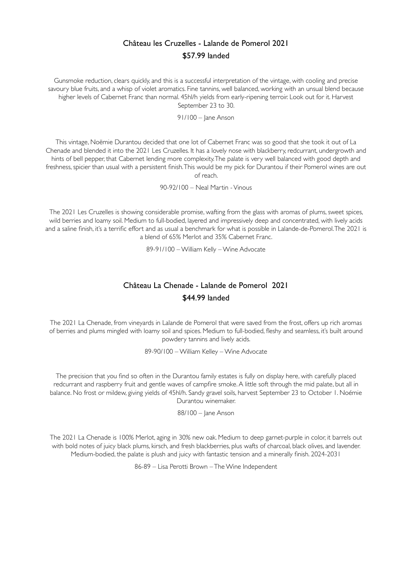# Château les Cruzelles - Lalande de Pomerol 2021 \$57.99 landed

Gunsmoke reduction, clears quickly, and this is a successful interpretation of the vintage, with cooling and precise savoury blue fruits, and a whisp of violet aromatics. Fine tannins, well balanced, working with an unsual blend because higher levels of Cabernet Franc than normal. 45hl/h yields from early-ripening terroir. Look out for it. Harvest September 23 to 30.

91/100 – Jane Anson

This vintage, Noëmie Durantou decided that one lot of Cabernet Franc was so good that she took it out of La Chenade and blended it into the 2021 Les Cruzelles. It has a lovely nose with blackberry, redcurrant, undergrowth and hints of bell pepper, that Cabernet lending more complexity. The palate is very well balanced with good depth and freshness, spicier than usual with a persistent finish. This would be my pick for Durantou if their Pomerol wines are out of reach.

90-92/100 – Neal Martin - Vinous

The 2021 Les Cruzelles is showing considerable promise, wafting from the glass with aromas of plums, sweet spices, wild berries and loamy soil. Medium to full-bodied, layered and impressively deep and concentrated, with lively acids and a saline finish, it's a terrific effort and as usual a benchmark for what is possible in Lalande-de-Pomerol. The 2021 is a blend of 65% Merlot and 35% Cabernet Franc.

89-91/100 – William Kelly – Wine Advocate

# Château La Chenade - Lalande de Pomerol 2021 \$44.99 landed

The 2021 La Chenade, from vineyards in Lalande de Pomerol that were saved from the frost, offers up rich aromas of berries and plums mingled with loamy soil and spices. Medium to full-bodied, fleshy and seamless, it's built around powdery tannins and lively acids.

89-90/100 – William Kelley – Wine Advocate

The precision that you find so often in the Durantou family estates is fully on display here, with carefully placed redcurrant and raspberry fruit and gentle waves of campfire smoke. A little soft through the mid palate, but all in balance. No frost or mildew, giving yields of 45hl/h. Sandy gravel soils, harvest September 23 to October 1. Noémie Durantou winemaker.

88/100 – Jane Anson

The 2021 La Chenade is 100% Merlot, aging in 30% new oak. Medium to deep garnet-purple in color, it barrels out with bold notes of juicy black plums, kirsch, and fresh blackberries, plus wafts of charcoal, black olives, and lavender. Medium-bodied, the palate is plush and juicy with fantastic tension and a minerally finish. 2024-2031

86-89 – Lisa Perotti Brown – The Wine Independent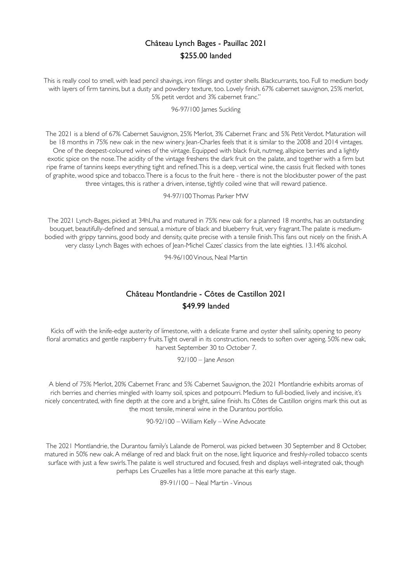# Château Lynch Bages - Pauillac 2021 \$255.00 landed

This is really cool to smell, with lead pencil shavings, iron filings and oyster shells. Blackcurrants, too. Full to medium body with layers of firm tannins, but a dusty and powdery texture, too. Lovely finish. 67% cabernet sauvignon, 25% merlot, 5% petit verdot and 3% cabernet franc."

#### 96-97/100 James Suckling

The 2021 is a blend of 67% Cabernet Sauvignon, 25% Merlot, 3% Cabernet Franc and 5% Petit Verdot. Maturation will be 18 months in 75% new oak in the new winery lean-Charles feels that it is similar to the 2008 and 2014 vintages. One of the deepest-coloured wines of the vintage. Equipped with black fruit, nutmeg, allspice berries and a lightly exotic spice on the nose. The acidity of the vintage freshens the dark fruit on the palate, and together with a firm but ripe frame of tannins keeps everything tight and refined. This is a deep, vertical wine, the cassis fruit flecked with tones of graphite, wood spice and tobacco. There is a focus to the fruit here - there is not the blockbuster power of the past three vintages, this is rather a driven, intense, tightly coiled wine that will reward patience.

94-97/100 Thomas Parker MW

The 2021 Lynch-Bages, picked at 34hL/ha and matured in 75% new oak for a planned 18 months, has an outstanding bouquet, beautifully-defined and sensual, a mixture of black and blueberry fruit, very fragrant. The palate is mediumbodied with grippy tannins, good body and density, quite precise with a tensile finish. This fans out nicely on the finish. A very classy Lynch Bages with echoes of Jean-Michel Cazes' classics from the late eighties. 13.14% alcohol.

94-96/100 Vinous, Neal Martin

# Château Montlandrie - Côtes de Castillon 2021 \$49.99 landed

Kicks off with the knife-edge austerity of limestone, with a delicate frame and oyster shell salinity, opening to peony floral aromatics and gentle raspberry fruits. Tight overall in its construction, needs to soften over ageing. 50% new oak, harvest September 30 to October 7.

92/100 – Jane Anson

A blend of 75% Merlot, 20% Cabernet Franc and 5% Cabernet Sauvignon, the 2021 Montlandrie exhibits aromas of rich berries and cherries mingled with loamy soil, spices and potpourri. Medium to full-bodied, lively and incisive, it's nicely concentrated, with fine depth at the core and a bright, saline finish. Its Côtes de Castillon origins mark this out as the most tensile, mineral wine in the Durantou portfolio.

90-92/100 – William Kelly – Wine Advocate

The 2021 Montlandrie, the Durantou family's Lalande de Pomerol, was picked between 30 September and 8 October, matured in 50% new oak. A mélange of red and black fruit on the nose, light liquorice and freshly-rolled tobacco scents surface with just a few swirls. The palate is well structured and focused, fresh and displays well-integrated oak, though perhaps Les Cruzelles has a little more panache at this early stage.

89-91/100 – Neal Martin - Vinous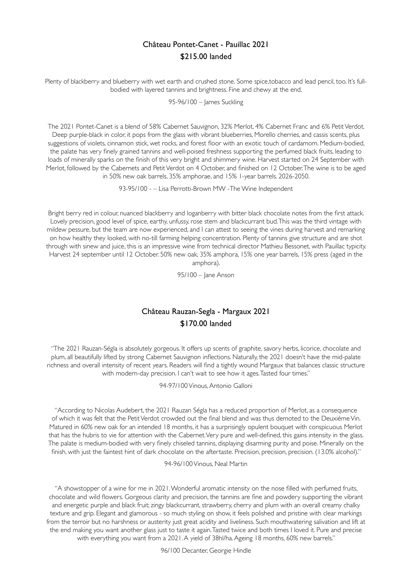## Château Pontet-Canet - Pauillac 2021 \$215.00 landed

Plenty of blackberry and blueberry with wet earth and crushed stone. Some spice,tobacco and lead pencil, too. It's fullbodied with layered tannins and brightness. Fine and chewy at the end.

95-96/100 – James Suckling

The 2021 Pontet-Canet is a blend of 58% Cabernet Sauvignon, 32% Merlot, 4% Cabernet Franc and 6% Petit Verdot. Deep purple-black in color, it pops from the glass with vibrant blueberries, Morello cherries, and cassis scents, plus suggestions of violets, cinnamon stick, wet rocks, and forest floor with an exotic touch of cardamom. Medium-bodied, the palate has very finely grained tannins and well-poised freshness supporting the perfumed black fruits, leading to loads of minerally sparks on the finish of this very bright and shimmery wine. Harvest started on 24 September with Merlot, followed by the Cabernets and Petit Verdot on 4 October, and finished on 12 October. The wine is to be aged in 50% new oak barrels, 35% amphorae, and 15% 1-year barrels. 2026-2050.

93-95/100 - – Lisa Perrotti-Brown MW -The Wine Independent

Bright berry red in colour, nuanced blackberry and loganberry with bitter black chocolate notes from the first attack. Lovely precision, good level of spice, earthy, unfussy, rose stem and blackcurrant bud. This was the third vintage with mildew pessure, but the team are now experienced, and I can attest to seeing the vines during harvest and remarking on how healthy they looked, with no-till farming helping concentration. Plenty of tannins give structure and are shot through with sinew and juice, this is an impressive wine from technical director Mathieu Bessonet, with Pauillac typicity. Harvest 24 september until 12 October. 50% new oak, 35% amphora, 15% one year barrels, 15% press (aged in the amphora).

95/100 – Jane Anson

# Château Rauzan-Segla - Margaux 2021 \$170.00 landed

"The 2021 Rauzan-Ségla is absolutely gorgeous. It offers up scents of graphite, savory herbs, licorice, chocolate and plum, all beautifully lifted by strong Cabernet Sauvignon inflections. Naturally, the 2021 doesn't have the mid-palate richness and overall intensity of recent years. Readers will find a tightly wound Margaux that balances classic structure with modern-day precision. I can't wait to see how it ages. Tasted four times."

94-97/100 Vinous, Antonio Galloni

"According to Nicolas Audebert, the 2021 Rauzan Ségla has a reduced proportion of Merlot, as a consequence of which it was felt that the Petit Verdot crowded out the final blend and was thus demoted to the Deuxième Vin. Matured in 60% new oak for an intended 18 months, it has a surprisingly opulent bouquet with conspicuous Merlot that has the hubris to vie for attention with the Cabernet. Very pure and well-defined, this gains intensity in the glass. The palate is medium-bodied with very finely chiseled tannins, displaying disarming purity and poise. Minerally on the finish, with just the faintest hint of dark chocolate on the aftertaste. Precision, precision, precision. (13.0% alcohol)."

94-96/100 Vinous, Neal Martin

"A showstopper of a wine for me in 2021. Wonderful aromatic intensity on the nose filled with perfumed fruits, chocolate and wild flowers. Gorgeous clarity and precision, the tannins are fine and powdery supporting the vibrant and energetic purple and black fruit; zingy blackcurrant, strawberry, cherry and plum with an overall creamy chalky texture and grip. Elegant and glamorous - so much styling on show, it feels polished and pristine with clear markings from the terroir but no harshness or austerity just great acidity and liveliness. Such mouthwatering salivation and lift at the end making you want another glass just to taste it again. Tasted twice and both times I loved it. Pure and precise with everything you want from a 2021. A yield of 38hl/ha. Ageing 18 months, 60% new barrels."

96/100 Decanter, Georgie Hindle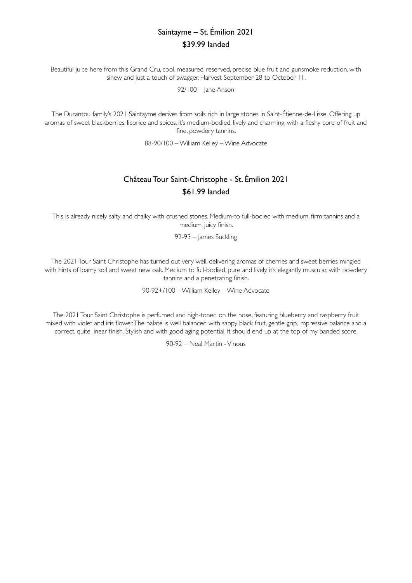# Saintayme – St. Émilion 2021 \$39.99 landed

Beautiful juice here from this Grand Cru, cool, measured, reserved, precise blue fruit and gunsmoke reduction, with sinew and just a touch of swagger. Harvest September 28 to October 11.

92/100 – Jane Anson

The Durantou family's 2021 Saintayme derives from soils rich in large stones in Saint-Étienne-de-Lisse. Offering up aromas of sweet blackberries, licorice and spices, it's medium-bodied, lively and charming, with a fleshy core of fruit and fine, powdery tannins.

88-90/100 – William Kelley – Wine Advocate

# Château Tour Saint-Christophe - St. Émilion 2021 \$61.99 landed

This is already nicely salty and chalky with crushed stones. Medium-to full-bodied with medium, firm tannins and a medium, juicy finish.

92-93 – James Suckling

The 2021 Tour Saint Christophe has turned out very well, delivering aromas of cherries and sweet berries mingled with hints of loamy soil and sweet new oak. Medium to full-bodied, pure and lively, it's elegantly muscular, with powdery tannins and a penetrating finish.

90-92+/100 – William Kelley – Wine Advocate

The 2021 Tour Saint Christophe is perfumed and high-toned on the nose, featuring blueberry and raspberry fruit mixed with violet and iris flower. The palate is well balanced with sappy black fruit, gentle grip, impressive balance and a correct, quite linear finish. Stylish and with good aging potential. It should end up at the top of my banded score.

90-92 – Neal Martin - Vinous